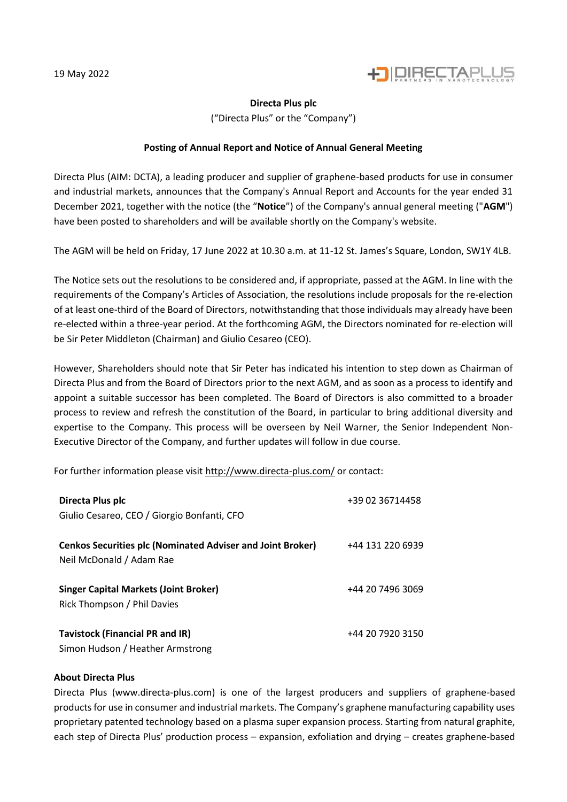

## **Directa Plus plc**

("Directa Plus" or the "Company")

## **Posting of Annual Report and Notice of Annual General Meeting**

Directa Plus (AIM: DCTA), a leading producer and supplier of graphene-based products for use in consumer and industrial markets, announces that the Company's Annual Report and Accounts for the year ended 31 December 2021, together with the notice (the "**Notice**") of the Company's annual general meeting ("**AGM**") have been posted to shareholders and will be available shortly on the Company's website.

The AGM will be held on Friday, 17 June 2022 at 10.30 a.m. at 11-12 St. James's Square, London, SW1Y 4LB.

The Notice sets out the resolutions to be considered and, if appropriate, passed at the AGM. In line with the requirements of the Company's Articles of Association, the resolutions include proposals for the re-election of at least one-third of the Board of Directors, notwithstanding that those individuals may already have been re-elected within a three-year period. At the forthcoming AGM, the Directors nominated for re-election will be Sir Peter Middleton (Chairman) and Giulio Cesareo (CEO).

However, Shareholders should note that Sir Peter has indicated his intention to step down as Chairman of Directa Plus and from the Board of Directors prior to the next AGM, and as soon as a process to identify and appoint a suitable successor has been completed. The Board of Directors is also committed to a broader process to review and refresh the constitution of the Board, in particular to bring additional diversity and expertise to the Company. This process will be overseen by Neil Warner, the Senior Independent Non-Executive Director of the Company, and further updates will follow in due course.

For further information please visi[t http://www.directa-plus.com/](http://www.directa-plus.com/) or contact:

| Directa Plus plc<br>Giulio Cesareo, CEO / Giorgio Bonfanti, CFO                               | +39 02 36714458  |
|-----------------------------------------------------------------------------------------------|------------------|
| <b>Cenkos Securities plc (Nominated Adviser and Joint Broker)</b><br>Neil McDonald / Adam Rae | +44 131 220 6939 |
| <b>Singer Capital Markets (Joint Broker)</b><br>Rick Thompson / Phil Davies                   | +44 20 7496 3069 |
| <b>Tavistock (Financial PR and IR)</b><br>Simon Hudson / Heather Armstrong                    | +44 20 7920 3150 |

## **About Directa Plus**

Directa Plus (www.directa-plus.com) is one of the largest producers and suppliers of graphene-based products for use in consumer and industrial markets. The Company's graphene manufacturing capability uses proprietary patented technology based on a plasma super expansion process. Starting from natural graphite, each step of Directa Plus' production process – expansion, exfoliation and drying – creates graphene-based